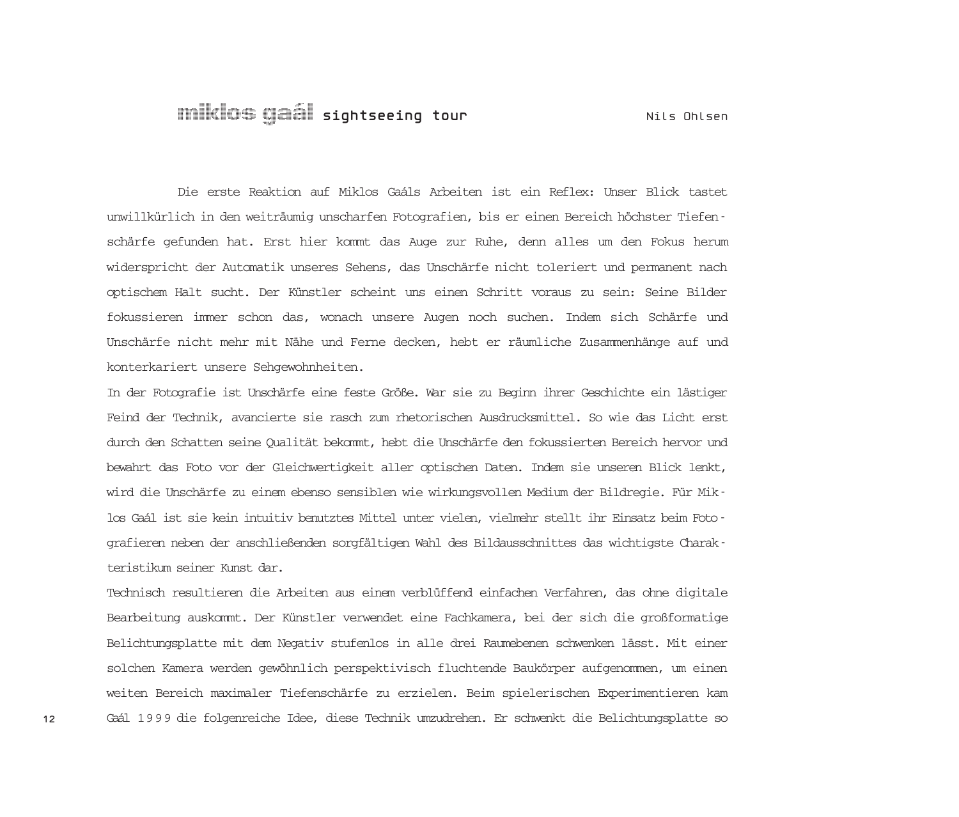## Miklos Gaál **sightseeing tour** Nils Ohlsen

Die erste Reaktion auf Miklos Gaáls Arbeiten ist ein Reflex: Unser Blick tastet unwillkürlich in den weiträumig unscharfen Fotografien, bis er einen Bereich höchster Tiefenschärfe gefunden hat. Erst hier kommt das Auge zur Ruhe, denn alles um den Fokus herum widerspricht der Automatik unseres Sehens, das Unschärfe nicht toleriert und permanent nach optischem Halt sucht. Der Künstler scheint uns einen Schritt voraus zu sein: Seine Bilder fokussieren immer schon das, wonach unsere Augen noch suchen. Indem sich Schärfe und Unschärfe nicht mehr mit Nähe und Ferne decken, hebt er räumliche Zusammenhänge auf und konterkariert unsere Sehgewohnheiten.

In der Fotografie ist Unschärfe eine feste Größe. War sie zu Beginn ihrer Geschichte ein lästiger Feind der Technik, avancierte sie rasch zum rhetorischen Ausdrucksmittel. So wie das Licht erst durch den Schatten seine Qualität bekommt, hebt die Unschärfe den fokussierten Bereich hervor und bewahrt das Foto vor der Gleichwertigkeit aller optischen Daten. Indem sie unseren Blick lenkt, wird die Unschärfe zu einem ebenso sensiblen wie wirkungsvollen Medium der Bildregie. Für Miklos Gaál ist sie kein intuitiv benutztes Mittel unter vielen, vielmehr stellt ihr Einsatz beim Fotografieren neben der anschließenden sorgfältigen Wahl des Bildausschnittes das wichtigste Charakteristikum seiner Kunst dar.

Technisch resultieren die Arbeiten aus einem verblüffend einfachen Verfahren, das ohne digitale Bearbeitung auskommt. Der Künstler verwendet eine Fachkamera, bei der sich die großformatige Belichtungsplatte mit dem Negativ stufenlos in alle drei Raumebenen schwenken lässt. Mit einer solchen Kamera werden gewöhnlich perspektivisch fluchtende Baukörper aufgenommen, um einen weiten Bereich maximaler Tiefenschärfe zu erzielen. Beim spielerischen Experimentieren kam Gaál 1999 die folgenreiche Idee, diese Technik umzudrehen. Er schwenkt die Belichtungsplatte so

**12**